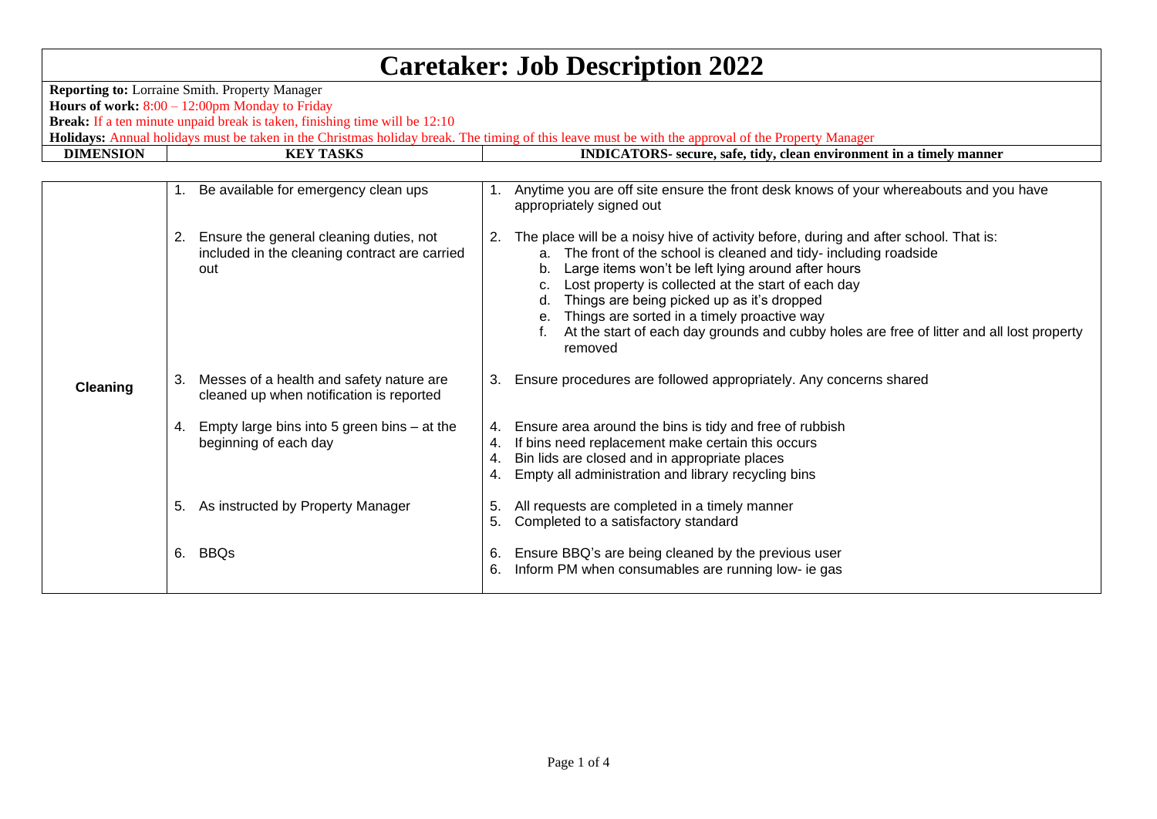| <b>Caretaker: Job Description 2022</b>                                                                                                                                                   |    |                                                                                                    |                |                                                                                                                                                                                                                                                                                                                                                                                                                                                                                       |  |  |  |  |
|------------------------------------------------------------------------------------------------------------------------------------------------------------------------------------------|----|----------------------------------------------------------------------------------------------------|----------------|---------------------------------------------------------------------------------------------------------------------------------------------------------------------------------------------------------------------------------------------------------------------------------------------------------------------------------------------------------------------------------------------------------------------------------------------------------------------------------------|--|--|--|--|
| <b>Reporting to:</b> Lorraine Smith. Property Manager<br>Hours of work: $8:00 - 12:00$ pm Monday to Friday<br>Break: If a ten minute unpaid break is taken, finishing time will be 12:10 |    |                                                                                                    |                |                                                                                                                                                                                                                                                                                                                                                                                                                                                                                       |  |  |  |  |
| Holidays: Annual holidays must be taken in the Christmas holiday break. The timing of this leave must be with the approval of the Property Manager                                       |    |                                                                                                    |                |                                                                                                                                                                                                                                                                                                                                                                                                                                                                                       |  |  |  |  |
| <b>DIMENSION</b>                                                                                                                                                                         |    | <b>KEY TASKS</b>                                                                                   |                | INDICATORS- secure, safe, tidy, clean environment in a timely manner                                                                                                                                                                                                                                                                                                                                                                                                                  |  |  |  |  |
|                                                                                                                                                                                          |    |                                                                                                    |                |                                                                                                                                                                                                                                                                                                                                                                                                                                                                                       |  |  |  |  |
|                                                                                                                                                                                          |    | 1. Be available for emergency clean ups                                                            | 1.             | Anytime you are off site ensure the front desk knows of your whereabouts and you have<br>appropriately signed out                                                                                                                                                                                                                                                                                                                                                                     |  |  |  |  |
|                                                                                                                                                                                          |    | 2. Ensure the general cleaning duties, not<br>included in the cleaning contract are carried<br>out | 2.             | The place will be a noisy hive of activity before, during and after school. That is:<br>a. The front of the school is cleaned and tidy- including roadside<br>Large items won't be left lying around after hours<br>Lost property is collected at the start of each day<br>Things are being picked up as it's dropped<br>d.<br>e. Things are sorted in a timely proactive way<br>At the start of each day grounds and cubby holes are free of litter and all lost property<br>removed |  |  |  |  |
| Cleaning                                                                                                                                                                                 |    | 3. Messes of a health and safety nature are<br>cleaned up when notification is reported            | 3.             | Ensure procedures are followed appropriately. Any concerns shared                                                                                                                                                                                                                                                                                                                                                                                                                     |  |  |  |  |
|                                                                                                                                                                                          |    | 4. Empty large bins into 5 green bins - at the<br>beginning of each day                            | 4.<br>4.<br>4. | Ensure area around the bins is tidy and free of rubbish<br>If bins need replacement make certain this occurs<br>Bin lids are closed and in appropriate places<br>Empty all administration and library recycling bins                                                                                                                                                                                                                                                                  |  |  |  |  |
|                                                                                                                                                                                          | 5. | As instructed by Property Manager                                                                  | 5.<br>5.       | All requests are completed in a timely manner<br>Completed to a satisfactory standard                                                                                                                                                                                                                                                                                                                                                                                                 |  |  |  |  |
|                                                                                                                                                                                          |    | 6. BBQs                                                                                            | 6.<br>6.       | Ensure BBQ's are being cleaned by the previous user<br>Inform PM when consumables are running low- ie gas                                                                                                                                                                                                                                                                                                                                                                             |  |  |  |  |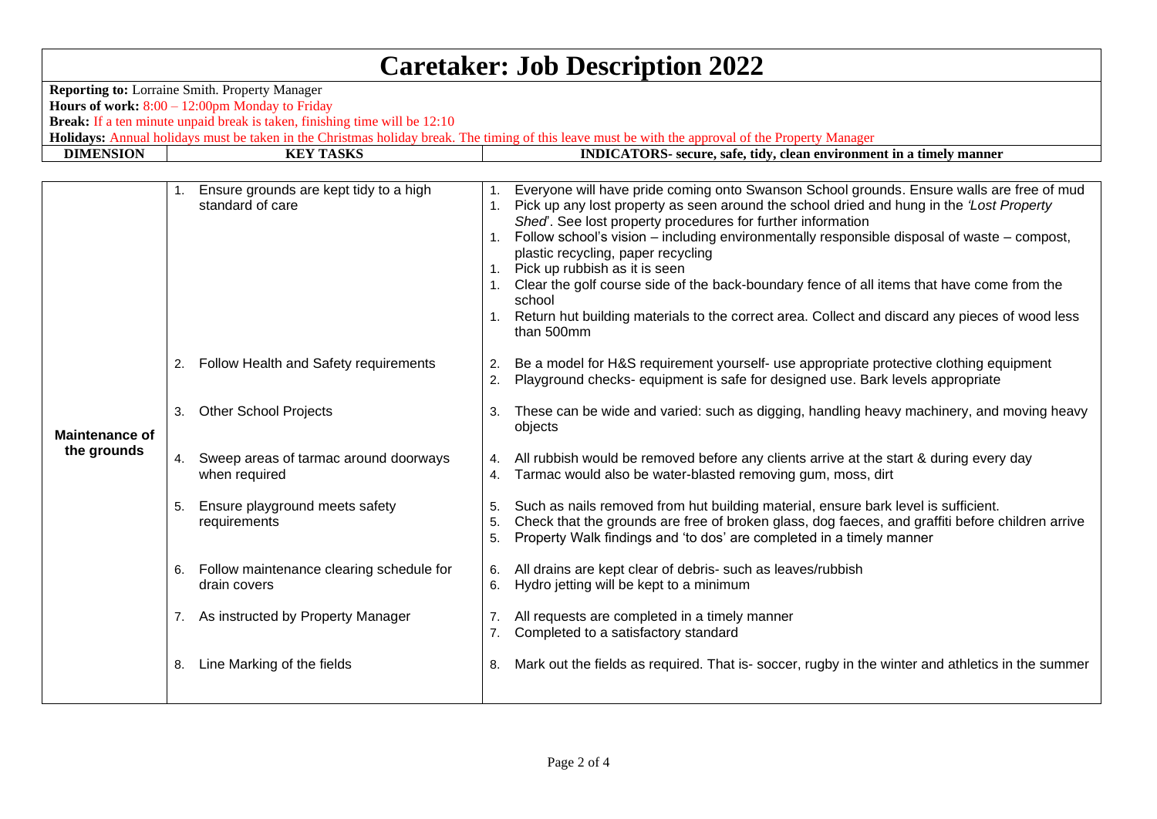## **Caretaker: Job Description 2022**

**Reporting to:** Lorraine Smith. Property Manager **Hours of work:** 8:00 – 12:00pm Monday to Friday **Break:** If a ten minute unpaid break is taken, finishing time will be 12:10

**Holidays:** Annual holidays must be taken in the Christmas holiday break. The timing of this leave must be with the approval of the Property Manager<br>**DIMENSION EXTASKS** 

**INDICATORS-** secure, safe, tidy, clean environment in a timely manner

|    | standard of care                               | 1.                                                                                                                                                                                       | Everyone will have pride coming onto Swanson School grounds. Ensure walls are free of mud<br>Pick up any lost property as seen around the school dried and hung in the 'Lost Property<br>Shed. See lost property procedures for further information<br>Follow school's vision – including environmentally responsible disposal of waste – compost,<br>plastic recycling, paper recycling<br>1. Pick up rubbish as it is seen<br>Clear the golf course side of the back-boundary fence of all items that have come from the<br>school<br>Return hut building materials to the correct area. Collect and discard any pieces of wood less<br>than 500mm |
|----|------------------------------------------------|------------------------------------------------------------------------------------------------------------------------------------------------------------------------------------------|------------------------------------------------------------------------------------------------------------------------------------------------------------------------------------------------------------------------------------------------------------------------------------------------------------------------------------------------------------------------------------------------------------------------------------------------------------------------------------------------------------------------------------------------------------------------------------------------------------------------------------------------------|
|    | Follow Health and Safety requirements          | 2.<br>2.                                                                                                                                                                                 | Be a model for H&S requirement yourself- use appropriate protective clothing equipment<br>Playground checks- equipment is safe for designed use. Bark levels appropriate                                                                                                                                                                                                                                                                                                                                                                                                                                                                             |
| 3. | <b>Other School Projects</b>                   | 3.                                                                                                                                                                                       | These can be wide and varied: such as digging, handling heavy machinery, and moving heavy<br>objects                                                                                                                                                                                                                                                                                                                                                                                                                                                                                                                                                 |
|    | when required                                  | 4.                                                                                                                                                                                       | All rubbish would be removed before any clients arrive at the start & during every day<br>Tarmac would also be water-blasted removing gum, moss, dirt                                                                                                                                                                                                                                                                                                                                                                                                                                                                                                |
| 5. | Ensure playground meets safety<br>requirements | 5.<br>5.<br>5.                                                                                                                                                                           | Such as nails removed from hut building material, ensure bark level is sufficient.<br>Check that the grounds are free of broken glass, dog faeces, and graffiti before children arrive<br>Property Walk findings and 'to dos' are completed in a timely manner                                                                                                                                                                                                                                                                                                                                                                                       |
|    | drain covers                                   | 6.<br>6.                                                                                                                                                                                 | All drains are kept clear of debris- such as leaves/rubbish<br>Hydro jetting will be kept to a minimum                                                                                                                                                                                                                                                                                                                                                                                                                                                                                                                                               |
|    |                                                |                                                                                                                                                                                          | All requests are completed in a timely manner<br>Completed to a satisfactory standard                                                                                                                                                                                                                                                                                                                                                                                                                                                                                                                                                                |
|    | Line Marking of the fields                     | 8.                                                                                                                                                                                       | Mark out the fields as required. That is-soccer, rugby in the winter and athletics in the summer                                                                                                                                                                                                                                                                                                                                                                                                                                                                                                                                                     |
|    |                                                | 1. Ensure grounds are kept tidy to a high<br>2.<br>4. Sweep areas of tarmac around doorways<br>6. Follow maintenance clearing schedule for<br>7. As instructed by Property Manager<br>8. |                                                                                                                                                                                                                                                                                                                                                                                                                                                                                                                                                                                                                                                      |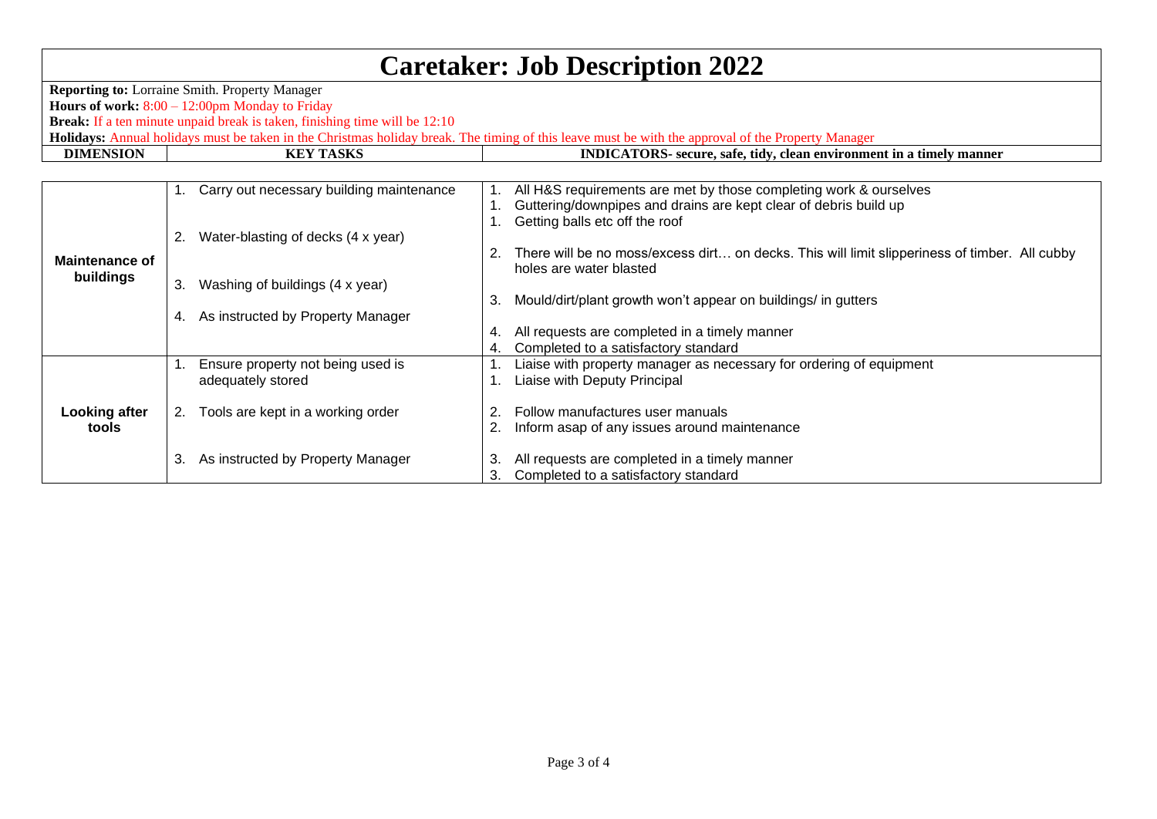## **Caretaker: Job Description 2022**

**Reporting to:** Lorraine Smith. Property Manager **Hours of work:** 8:00 – 12:00pm Monday to Friday **Break:** If a ten minute unpaid break is taken, finishing time will be 12:10 **Holidays:** Annual holidays must be taken in the Christmas holiday break. The timing of this leave must be with the approval of the Property Manager<br>**DIMENSION EXTASKS** 

**INDICATORS-** secure, safe, tidy, clean environment in a timely manner

| <b>Maintenance of</b><br>buildings | $1_{\cdot}$ | Carry out necessary building maintenance |    | All H&S requirements are met by those completing work & ourselves                             |
|------------------------------------|-------------|------------------------------------------|----|-----------------------------------------------------------------------------------------------|
|                                    |             |                                          |    | Guttering/downpipes and drains are kept clear of debris build up                              |
|                                    |             |                                          |    | Getting balls etc off the roof                                                                |
|                                    | 2.          | Water-blasting of decks (4 x year)       |    |                                                                                               |
|                                    |             |                                          |    | There will be no moss/excess dirt on decks. This will limit slipperiness of timber. All cubby |
|                                    |             |                                          |    | holes are water blasted                                                                       |
|                                    |             |                                          |    |                                                                                               |
|                                    | 3.          | Washing of buildings (4 x year)          |    |                                                                                               |
|                                    |             |                                          | 3. | Mould/dirt/plant growth won't appear on buildings/ in gutters                                 |
|                                    | 4.          | As instructed by Property Manager        |    |                                                                                               |
|                                    |             |                                          |    | All requests are completed in a timely manner                                                 |
|                                    |             |                                          |    | Completed to a satisfactory standard                                                          |
| <b>Looking after</b><br>tools      |             | Ensure property not being used is        |    | Liaise with property manager as necessary for ordering of equipment                           |
|                                    |             | adequately stored                        |    | Liaise with Deputy Principal                                                                  |
|                                    |             |                                          |    |                                                                                               |
|                                    | 2.          | Tools are kept in a working order        | 2. | Follow manufactures user manuals                                                              |
|                                    |             |                                          |    | Inform asap of any issues around maintenance                                                  |
|                                    |             |                                          |    |                                                                                               |
|                                    |             |                                          |    |                                                                                               |
|                                    | 3.          | As instructed by Property Manager        | З. | All requests are completed in a timely manner                                                 |
|                                    |             |                                          | З. | Completed to a satisfactory standard                                                          |